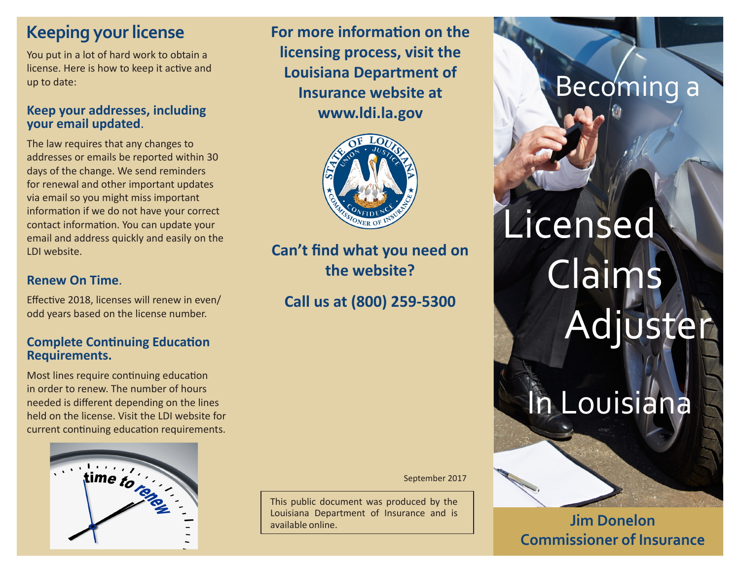#### **Keeping your license**

You put in a lot of hard work to obtain a license. Here is how to keep it active and up to date:

#### **Keep your addresses, including your email updated**.

The law requires that any changes to addresses or emails be reported within 30 days of the change. We send reminders for renewal and other important updates via email so you might miss important information if we do not have your correct contact information. You can update your email and address quickly and easily on the LDI website.

#### **Renew On Time**.

Effective 2018, licenses will renew in even/ odd years based on the license number.

#### **Complete Continuing Education Requirements.**

Most lines require continuing education in order to renew. The number of hours needed is different depending on the lines held on the license. Visit the LDI website for current continuing education requirements.



**For more information on the licensing process, visit the Louisiana Department of Insurance website at www.ldi.la.gov**



**Can't find what you need on the website?** 

**Call us at (800) 259-5300**

September 2017

This public document was produced by the Louisiana Department of Insurance and is available online.

# Becoming a

Licensed Claims Adjuster

# In Louisiana

**Jim Donelon Commissioner of Insurance**